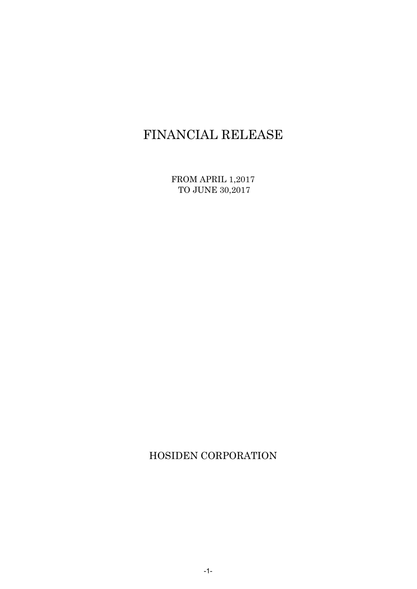# FINANCIAL RELEASE

FROM APRIL 1,2017 TO JUNE 30,2017

HOSIDEN CORPORATION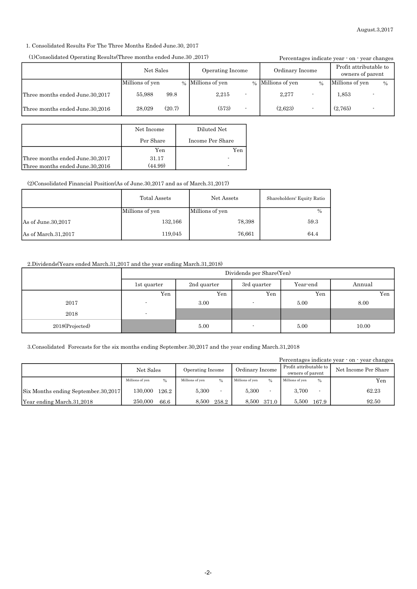#### 1. Consolidated Results For The Three Months Ended June.30, 2017

#### (1)Consolidated Operating Results(Three months ended June.30 ,2017)

| (1)Consolidated Operating Results (Three months ended June. 30, 2017) |                 |        |                   |  |                   |                          | Percentages indicate year · on · year changes |               |
|-----------------------------------------------------------------------|-----------------|--------|-------------------|--|-------------------|--------------------------|-----------------------------------------------|---------------|
|                                                                       | Net Sales       |        | Operating Income  |  | Ordinary Income   |                          | Profit attributable to<br>owners of parent    |               |
|                                                                       | Millions of yen |        | % Millions of yen |  | % Millions of yen | $\frac{0}{0}$            | Millions of yen                               | $\frac{0}{0}$ |
| Three months ended June.30,2017                                       | 55,988          | 99.8   | 2.215             |  | 2.277             | $\overline{\phantom{a}}$ | 1,853                                         |               |
| Three months ended June.30,2016                                       | 28.029          | (20.7) | (573)<br>٠        |  | (2.623)           | $\overline{\phantom{a}}$ | (2.765)                                       |               |

|                                 | Net Income | Diluted Net      |
|---------------------------------|------------|------------------|
|                                 | Per Share  | Income Per Share |
|                                 | Yen        | Yen              |
| Three months ended June.30,2017 | 31.17      |                  |
| Three months ended June.30,2016 | (44.99)    | ۰                |

#### (2)Consolidated Financial Position(As of June.30,2017 and as of March.31,2017)

|                        | Total Assets    | Net Assets      | Shareholders' Equity Ratio |
|------------------------|-----------------|-----------------|----------------------------|
|                        | Millions of yen | Millions of yen | $\frac{0}{0}$              |
| As of June. 30, 2017   | 132,166         | 78,398          | 59.3                       |
| As of March. $31,2017$ | 119,045         | 76,661          | 64.4                       |

#### 2.Dividends(Years ended March.31,2017 and the year ending March.31,2018)

|                 | Dividends per Share(Yen) |             |             |          |        |  |
|-----------------|--------------------------|-------------|-------------|----------|--------|--|
|                 | 1st quarter              | 2nd quarter | 3rd quarter | Year-end | Annual |  |
|                 | Yen                      | Yen         | Yen         | Yen      | Yen    |  |
| 2017            |                          | 3.00        | ٠           | 5.00     | 8.00   |  |
| 2018            |                          |             |             |          |        |  |
| 2018(Projected) |                          | 5.00        | $\sim$      | 5.00     | 10.00  |  |

3.Consolidated Forecasts for the six months ending September.30,2017 and the year ending March.31,2018

| Percentages indicate year - on - year changes |                 |               |                  |       |                 |       |                                              |               |                      |
|-----------------------------------------------|-----------------|---------------|------------------|-------|-----------------|-------|----------------------------------------------|---------------|----------------------|
|                                               | Net Sales       |               | Operating Income |       | Ordinary Income |       | Profit attributable to  <br>owners of parent |               | Net Income Per Share |
|                                               | Millions of ven | $\frac{0}{0}$ | Millions of ven  | %     | Millions of ven | $\%$  | Millions of ven                              | $\frac{0}{0}$ | Yen                  |
| Six Months ending September. 30, 2017         | 130,000         | 126.2         | 5.300            |       | 5.300           |       | 3.700                                        |               | 62.23                |
| Year ending March.31,2018                     | 250,000         | 66.6          | 8.500            | 258.2 | 8,500           | 371.0 | 5.500                                        | 167.9         | 92.50                |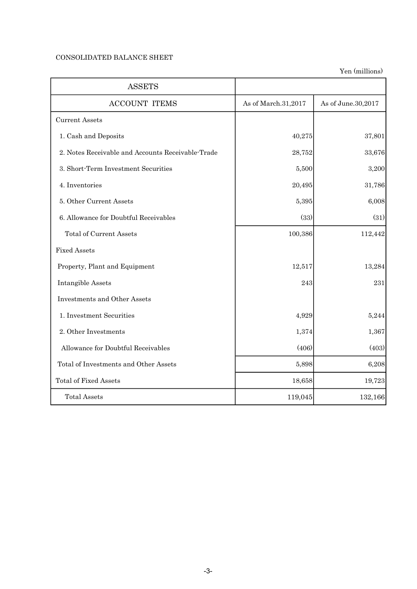## CONSOLIDATED BALANCE SHEET

| <b>ASSETS</b>                                     |                     |                    |
|---------------------------------------------------|---------------------|--------------------|
| <b>ACCOUNT ITEMS</b>                              | As of March.31,2017 | As of June.30,2017 |
| <b>Current Assets</b>                             |                     |                    |
| 1. Cash and Deposits                              | 40,275              | 37,801             |
| 2. Notes Receivable and Accounts Receivable-Trade | 28,752              | 33,676             |
| 3. Short-Term Investment Securities               | 5,500               | 3,200              |
| 4. Inventories                                    | 20,495              | 31,786             |
| 5. Other Current Assets                           | 5,395               | 6,008              |
| 6. Allowance for Doubtful Receivables             | (33)                | (31)               |
| <b>Total of Current Assets</b>                    | 100,386             | 112,442            |
| <b>Fixed Assets</b>                               |                     |                    |
| Property, Plant and Equipment                     | 12,517              | 13,284             |
| Intangible Assets                                 | 243                 | 231                |
| Investments and Other Assets                      |                     |                    |
| 1. Investment Securities                          | 4,929               | 5,244              |
| 2. Other Investments                              | 1,374               | 1,367              |
| Allowance for Doubtful Receivables                | (406)               | (403)              |
| Total of Investments and Other Assets             | 5,898               | 6,208              |
| <b>Total of Fixed Assets</b>                      | 18,658              | 19,723             |
| <b>Total Assets</b>                               | 119,045             | 132,166            |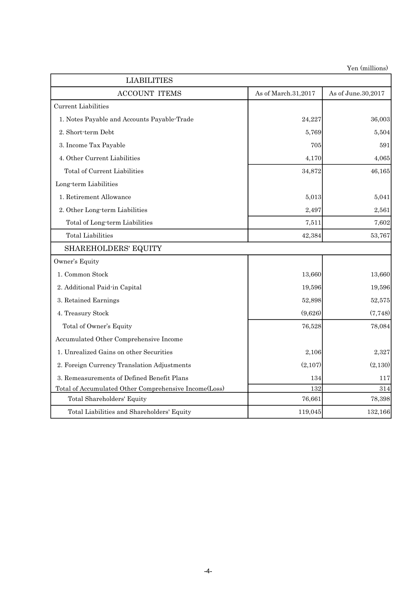| <b>LIABILITIES</b>                                    |                     |                    |  |  |
|-------------------------------------------------------|---------------------|--------------------|--|--|
| <b>ACCOUNT ITEMS</b>                                  | As of March.31,2017 | As of June.30,2017 |  |  |
| Current Liabilities                                   |                     |                    |  |  |
| 1. Notes Payable and Accounts Payable-Trade           | 24,227              | 36,003             |  |  |
| 2. Short-term Debt                                    | 5,769               | 5,504              |  |  |
| 3. Income Tax Payable                                 | 705                 | 591                |  |  |
| 4. Other Current Liabilities                          | 4,170               | 4,065              |  |  |
| Total of Current Liabilities                          | 34,872              | 46,165             |  |  |
| Long-term Liabilities                                 |                     |                    |  |  |
| 1. Retirement Allowance                               | 5,013               | 5,041              |  |  |
| 2. Other Long-term Liabilities                        | 2,497               | 2,561              |  |  |
| Total of Long-term Liabilities                        | 7,511               | 7,602              |  |  |
| Total Liabilities                                     | 42,384              | 53,767             |  |  |
| <b>SHAREHOLDERS' EQUITY</b>                           |                     |                    |  |  |
| Owner's Equity                                        |                     |                    |  |  |
| 1. Common Stock                                       | 13,660              | 13,660             |  |  |
| 2. Additional Paid-in Capital                         | 19,596              | 19,596             |  |  |
| 3. Retained Earnings                                  | 52,898              | 52,575             |  |  |
| 4. Treasury Stock                                     | (9,626)             | (7,748)            |  |  |
| Total of Owner's Equity                               | 76,528              | 78,084             |  |  |
| Accumulated Other Comprehensive Income                |                     |                    |  |  |
| 1. Unrealized Gains on other Securities               | 2,106               | 2,327              |  |  |
| 2. Foreign Currency Translation Adjustments           | (2,107)             | (2,130)            |  |  |
| 3. Remeasurements of Defined Benefit Plans            | 134                 | 117                |  |  |
| Total of Accumulated Other Comprehensive Income(Loss) | 132                 | 314                |  |  |
| Total Shareholders' Equity                            | 76,661              | 78,398             |  |  |
| Total Liabilities and Shareholders' Equity            | 119,045             | 132,166            |  |  |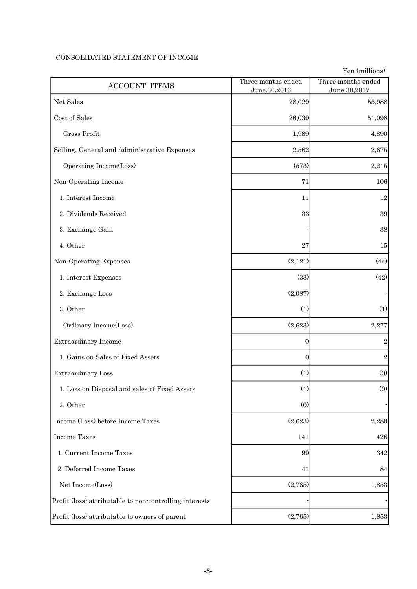## CONSOLIDATED STATEMENT OF INCOME

| <b>ACCOUNT ITEMS</b>                                    | Three months ended<br>June.30,2016 | Three months ended<br>June.30,2017 |
|---------------------------------------------------------|------------------------------------|------------------------------------|
| Net Sales                                               | 28,029                             | 55,988                             |
| Cost of Sales                                           | 26,039                             | 51,098                             |
| Gross Profit                                            | 1,989                              | 4,890                              |
| Selling, General and Administrative Expenses            | 2,562                              | 2,675                              |
| Operating Income(Loss)                                  | (573)                              | 2,215                              |
| Non-Operating Income                                    | 71                                 | 106                                |
| 1. Interest Income                                      | 11                                 | 12                                 |
| 2. Dividends Received                                   | 33                                 | 39                                 |
| 3. Exchange Gain                                        |                                    | 38                                 |
| 4. Other                                                | 27                                 | 15                                 |
| Non-Operating Expenses                                  | (2,121)                            | (44)                               |
| 1. Interest Expenses                                    | (33)                               | (42)                               |
| 2. Exchange Loss                                        | (2,087)                            |                                    |
| 3. Other                                                | (1)                                | (1)                                |
| Ordinary Income(Loss)                                   | (2,623)                            | 2,277                              |
| <b>Extraordinary Income</b>                             | $\boldsymbol{0}$                   | $\overline{2}$                     |
| 1. Gains on Sales of Fixed Assets                       | $\overline{0}$                     | $\overline{2}$                     |
| <b>Extraordinary Loss</b>                               | (1)                                | (0)                                |
| 1. Loss on Disposal and sales of Fixed Assets           | (1)                                | (0)                                |
| 2. Other                                                | (0)                                |                                    |
| Income (Loss) before Income Taxes                       | (2,623)                            | 2,280                              |
| <b>Income Taxes</b>                                     | 141                                | 426                                |
| 1. Current Income Taxes                                 | 99                                 | 342                                |
| 2. Deferred Income Taxes                                | 41                                 | 84                                 |
| Net Income(Loss)                                        | (2,765)                            | 1,853                              |
| Profit (loss) attributable to non-controlling interests |                                    |                                    |
| Profit (loss) attributable to owners of parent          | (2,765)                            | 1,853                              |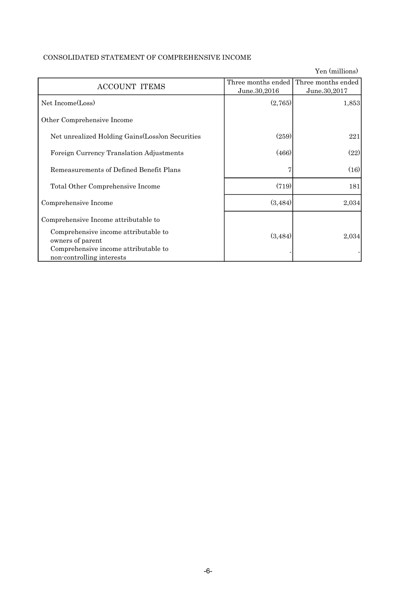## CONSOLIDATED STATEMENT OF COMPREHENSIVE INCOME

| <b>ACCOUNT ITEMS</b>                                                                                                          | Three months ended<br>June.30,2016 | Three months ended<br>June. 30, 2017 |
|-------------------------------------------------------------------------------------------------------------------------------|------------------------------------|--------------------------------------|
| Net Income(Loss)                                                                                                              | (2,765)                            | 1,853                                |
| Other Comprehensive Income                                                                                                    |                                    |                                      |
| Net unrealized Holding Gains(Loss)on Securities                                                                               | (259)                              | 221                                  |
| Foreign Currency Translation Adjustments                                                                                      | (466)                              | (22)                                 |
| Remeasurements of Defined Benefit Plans                                                                                       |                                    | (16)                                 |
| Total Other Comprehensive Income                                                                                              | (719)                              | 181                                  |
| Comprehensive Income                                                                                                          | (3,484)                            | 2,034                                |
| Comprehensive Income attributable to                                                                                          |                                    |                                      |
| Comprehensive income attributable to<br>owners of parent<br>Comprehensive income attributable to<br>non-controlling interests | (3, 484)                           | 2,034                                |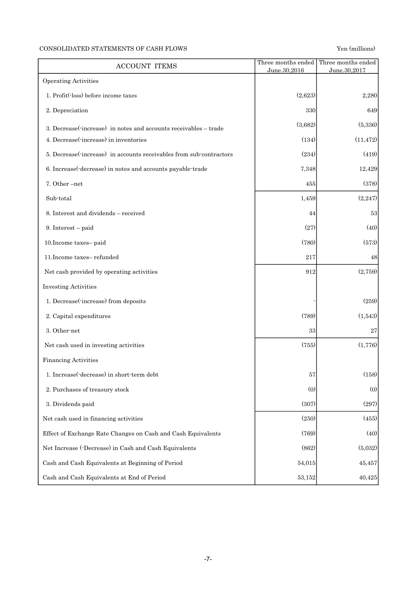## ${\bf CONSOLIDATED \; STATEMENTS \; OF \; CASH \; FLOWS {\color{white}30} {\color{white}30} {\color{white}30} {\color{white}30} {\color{white}30} {\color{white}30} {\color{white}30} {\color{white}30} {\color{white}30} {\color{white}30} {\color{white}30} {\color{white}30} {\color{white}30} {\color{white}30} {\color{white}30} {\color{white}30} {\color{white}30} {\color{white}30} {\color{white}30} {\color{white}30} {\color{white}30} {\color{white}30} {\color{white}30} {\color{white}30} {\color{white}$

| <b>ACCOUNT ITEMS</b>                                                | June.30,2016 | Three months ended Three months ended<br>June.30,2017 |
|---------------------------------------------------------------------|--------------|-------------------------------------------------------|
| <b>Operating Activities</b>                                         |              |                                                       |
| 1. Profit <sup>(-loss)</sup> before income taxes                    | (2,623)      | 2,280                                                 |
| 2. Depreciation                                                     | 330          | 649                                                   |
| 3. Decrease (increase) in notes and accounts receivables – trade    | (3,682)      | (5,336)                                               |
| 4. Decrease (increase) in inventories                               | (134)        | (11, 472)                                             |
| 5. Decrease (increase) in accounts receivables from sub-contractors | (234)        | (419)                                                 |
| 6. Increase(-decrease) in notes and accounts payable-trade          | 7,348        | 12,429                                                |
| 7. Other -net                                                       | 455          | (378)                                                 |
| Sub-total                                                           | 1,459        | (2,247)                                               |
| 8. Interest and dividends – received                                | 44           | 53                                                    |
| 9. Interest – paid                                                  | (27)         | (40)                                                  |
| 10. Income taxes-paid                                               | (780)        | (573)                                                 |
| 11. Income taxes-refunded                                           | 217          | 48                                                    |
| Net cash provided by operating activities                           | 912          | (2,759)                                               |
| <b>Investing Activities</b>                                         |              |                                                       |
| 1. Decrease(-increase) from deposits                                |              | (259)                                                 |
| 2. Capital expenditures                                             | (789)        | (1,543)                                               |
| 3. Other-net                                                        | 33           | 27                                                    |
| Net cash used in investing activities                               | (755)        | (1,776)                                               |
| <b>Financing Activities</b>                                         |              |                                                       |
| 1. Increase(-decrease) in short-term debt                           | 57           | (158)                                                 |
| 2. Purchases of treasury stock                                      | (0)          | (0)                                                   |
| 3. Dividends paid                                                   | (307)        | (297)                                                 |
| Net cash used in financing activities                               | (250)        | (455)                                                 |
| Effect of Exchange Rate Changes on Cash and Cash Equivalents        | (769)        | (40)                                                  |
| Net Increase (-Decrease) in Cash and Cash Equivalents               | (862)        | (5,032)                                               |
| Cash and Cash Equivalents at Beginning of Period                    | 54,015       | 45,457                                                |
| Cash and Cash Equivalents at End of Period                          | 53,152       | 40,425                                                |